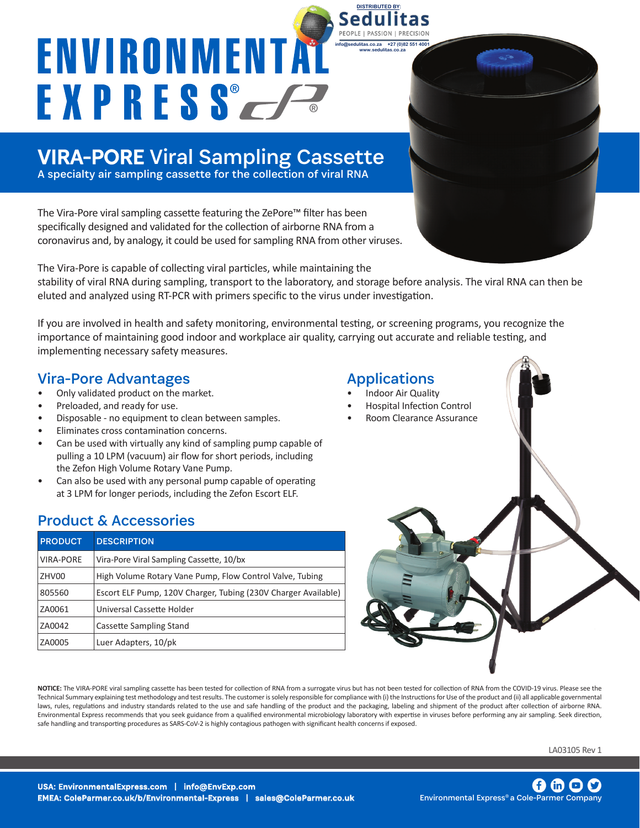# ENVIRONMENTA EXPRESS F

## VIRA-PORE Viral Sampling Cassette

A specialty air sampling cassette for the collection of viral RNA

The Vira-Pore viral sampling cassette featuring the ZePore™ filter has been specifically designed and validated for the collection of airborne RNA from a coronavirus and, by analogy, it could be used for sampling RNA from other viruses.

The Vira-Pore is capable of collecting viral particles, while maintaining the stability of viral RNA during sampling, transport to the laboratory, and storage before analysis. The viral RNA can then be eluted and analyzed using RT-PCR with primers specific to the virus under investigation.

If you are involved in health and safety monitoring, environmental testing, or screening programs, you recognize the importance of maintaining good indoor and workplace air quality, carrying out accurate and reliable testing, and implementing necessary safety measures. 

### Vira-Pore Advantages

- Only validated product on the market.
- Preloaded, and ready for use.
- Disposable no equipment to clean between samples.
- Eliminates cross contamination concerns.
- Can be used with virtually any kind of sampling pump capable of pulling a 10 LPM (vacuum) air flow for short periods, including the Zefon High Volume Rotary Vane Pump.
- Can also be used with any personal pump capable of operating at 3 LPM for longer periods, including the Zefon Escort ELF.

## Product & Accessories

| <b>PRODUCT</b>   | <b>DESCRIPTION</b>                                             |
|------------------|----------------------------------------------------------------|
| <b>VIRA-PORE</b> | Vira-Pore Viral Sampling Cassette, 10/bx                       |
| ZHV00            | High Volume Rotary Vane Pump, Flow Control Valve, Tubing       |
| 805560           | Escort ELF Pump, 120V Charger, Tubing (230V Charger Available) |
| ZA0061           | Universal Cassette Holder                                      |
| ZA0042           | Cassette Sampling Stand                                        |
| ZA0005           | Luer Adapters, 10/pk                                           |

**NOTICE:** The VIRA-PORE viral sampling cassette has been tested for collection of RNA from a surrogate virus but has not been tested for collection of RNA from the COVID-19 virus. Please see the Technical Summary explaining test methodology and test results. The customer is solely responsible for compliance with (i) the Instructions for Use of the product and (ii) all applicable governmental laws, rules, regulations and industry standards related to the use and safe handling of the product and the packaging, labeling and shipment of the product after collection of airborne RNA. Environmental Express recommends that you seek guidance from a qualified environmental microbiology laboratory with expertise in viruses before performing any air sampling. Seek direction, safe handling and transporting procedures as SARS-CoV-2 is highly contagious pathogen with significant health concerns if exposed.

LA03105 Rev 1

### Applications

**DISTRIBUTED BY:** 

**info@sedulitas.co.za +27 (0)82 551 4001 www.sedulitas.co.za**

- Indoor Air Quality
- Hospital Infection Control
- Room Clearance Assurance

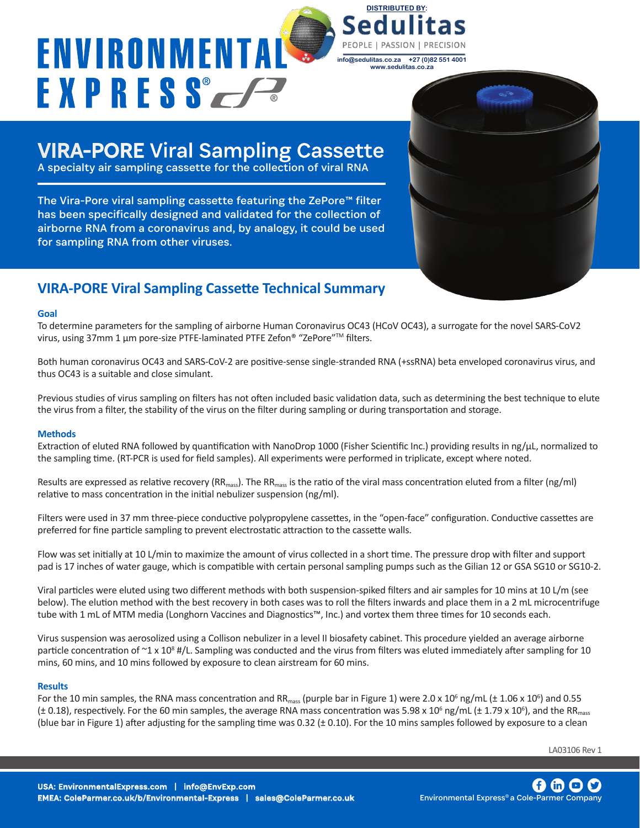# ENVIRONMENTA **EXPRESSEE**

PEOPLE | PASSION **info@sedulitas.co.za +27 (0)82 551 4001 www.sedulitas.co.za**

**DISTRIBUTED BY:** 

## VIRA-PORE Viral Sampling Cassette

A specialty air sampling cassette for the collection of viral RNA

The Vira-Pore viral sampling cassette featuring the ZePore™ filter has been specifically designed and validated for the collection of airborne RNA from a coronavirus and, by analogy, it could be used for sampling RNA from other viruses.

## **VIRA-PORE Viral Sampling Cassette Technical Summary**

#### **Goal**

To determine parameters for the sampling of airborne Human Coronavirus OC43 (HCoV OC43), a surrogate for the novel SARS-CoV2 virus, using 37mm 1 µm pore-size PTFE-laminated PTFE Zefon® "ZePore"™ filters.

Both human coronavirus OC43 and SARS-CoV-2 are positive-sense single-stranded RNA (+ssRNA) beta enveloped coronavirus virus, and thus OC43 is a suitable and close simulant.

Previous studies of virus sampling on filters has not often included basic validation data, such as determining the best technique to elute the virus from a filter, the stability of the virus on the filter during sampling or during transportation and storage.

### **Methods**

Extraction of eluted RNA followed by quantification with NanoDrop 1000 (Fisher Scientific Inc.) providing results in ng/ $\mu$ L, normalized to the sampling time. (RT-PCR is used for field samples). All experiments were performed in triplicate, except where noted.

Results are expressed as relative recovery ( $RR_{mass}$ ). The  $RR_{mass}$  is the ratio of the viral mass concentration eluted from a filter (ng/ml) relative to mass concentration in the initial nebulizer suspension (ng/ml).

Filters were used in 37 mm three-piece conductive polypropylene cassettes, in the "open-face" configuration. Conductive cassettes are preferred for fine particle sampling to prevent electrostatic attraction to the cassette walls.

Flow was set initially at 10 L/min to maximize the amount of virus collected in a short time. The pressure drop with filter and support pad is 17 inches of water gauge, which is compatible with certain personal sampling pumps such as the Gilian 12 or GSA SG10 or SG10-2.

Viral particles were eluted using two different methods with both suspension-spiked filters and air samples for 10 mins at 10 L/m (see below). The elution method with the best recovery in both cases was to roll the filters inwards and place them in a 2 mL microcentrifuge tube with 1 mL of MTM media (Longhorn Vaccines and Diagnostics™, Inc.) and vortex them three times for 10 seconds each.

Virus suspension was aerosolized using a Collison nebulizer in a level II biosafety cabinet. This procedure yielded an average airborne particle concentration of  $\sim$ 1 x 10<sup>8</sup> #/L. Sampling was conducted and the virus from filters was eluted immediately after sampling for 10 mins, 60 mins, and 10 mins followed by exposure to clean airstream for 60 mins.

#### **Results**

For the 10 min samples, the RNA mass concentration and RR $_{mass}$  (purple bar in Figure 1) were 2.0 x 10<sup>6</sup> ng/mL (± 1.06 x 10<sup>6</sup>) and 0.55 (± 0.18), respectively. For the 60 min samples, the average RNA mass concentration was 5.98 x 10 $^6$  ng/mL (± 1.79 x 10 $^6$ ), and the RR $_{\rm mass}$ (blue bar in Figure 1) after adjusting for the sampling time was  $0.32 (\pm 0.10)$ . For the 10 mins samples followed by exposure to a clean

LA03106 Rev 1